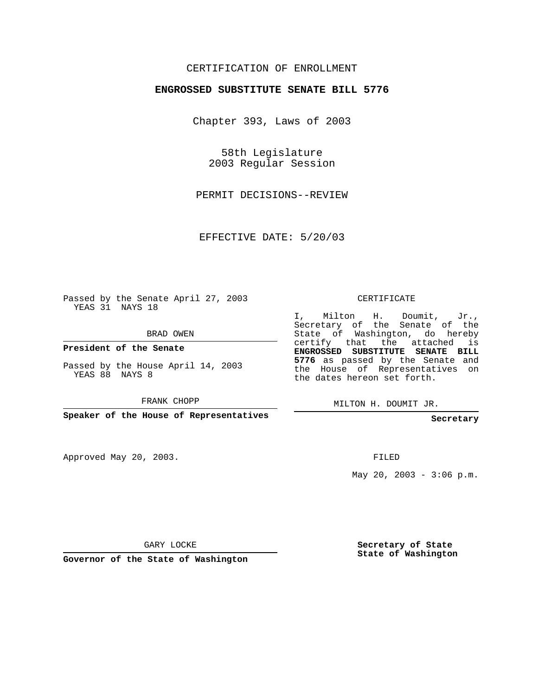## CERTIFICATION OF ENROLLMENT

## **ENGROSSED SUBSTITUTE SENATE BILL 5776**

Chapter 393, Laws of 2003

58th Legislature 2003 Regular Session

PERMIT DECISIONS--REVIEW

EFFECTIVE DATE: 5/20/03

Passed by the Senate April 27, 2003 YEAS 31 NAYS 18

BRAD OWEN

**President of the Senate**

Passed by the House April 14, 2003 YEAS 88 NAYS 8

FRANK CHOPP

**Speaker of the House of Representatives**

Approved May 20, 2003.

CERTIFICATE

I, Milton H. Doumit, Jr., Secretary of the Senate of the State of Washington, do hereby certify that the attached is **ENGROSSED SUBSTITUTE SENATE BILL 5776** as passed by the Senate and the House of Representatives on the dates hereon set forth.

MILTON H. DOUMIT JR.

**Secretary**

FILED

May 20, 2003 -  $3:06$  p.m.

GARY LOCKE

**Governor of the State of Washington**

**Secretary of State State of Washington**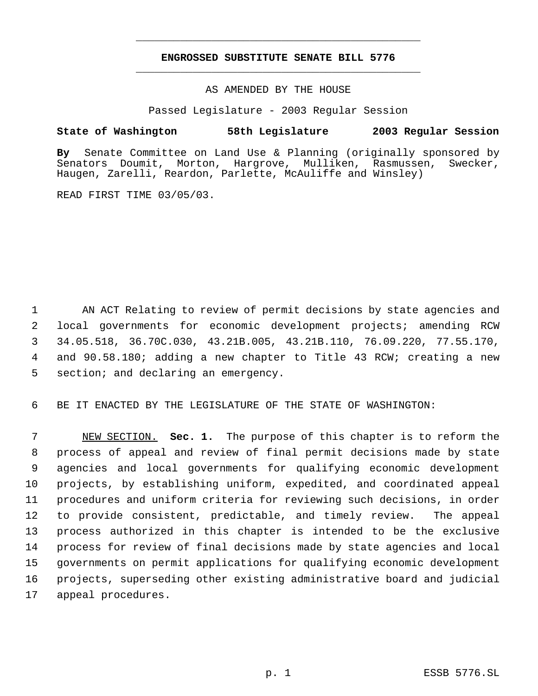## **ENGROSSED SUBSTITUTE SENATE BILL 5776** \_\_\_\_\_\_\_\_\_\_\_\_\_\_\_\_\_\_\_\_\_\_\_\_\_\_\_\_\_\_\_\_\_\_\_\_\_\_\_\_\_\_\_\_\_

\_\_\_\_\_\_\_\_\_\_\_\_\_\_\_\_\_\_\_\_\_\_\_\_\_\_\_\_\_\_\_\_\_\_\_\_\_\_\_\_\_\_\_\_\_

AS AMENDED BY THE HOUSE

Passed Legislature - 2003 Regular Session

## **State of Washington 58th Legislature 2003 Regular Session**

**By** Senate Committee on Land Use & Planning (originally sponsored by Senators Doumit, Morton, Hargrove, Mulliken, Rasmussen, Swecker, Haugen, Zarelli, Reardon, Parlette, McAuliffe and Winsley)

READ FIRST TIME 03/05/03.

1 AN ACT Relating to review of permit decisions by state agencies and local governments for economic development projects; amending RCW 34.05.518, 36.70C.030, 43.21B.005, 43.21B.110, 76.09.220, 77.55.170, and 90.58.180; adding a new chapter to Title 43 RCW; creating a new section; and declaring an emergency.

6 BE IT ENACTED BY THE LEGISLATURE OF THE STATE OF WASHINGTON:

 NEW SECTION. **Sec. 1.** The purpose of this chapter is to reform the process of appeal and review of final permit decisions made by state agencies and local governments for qualifying economic development projects, by establishing uniform, expedited, and coordinated appeal procedures and uniform criteria for reviewing such decisions, in order to provide consistent, predictable, and timely review. The appeal process authorized in this chapter is intended to be the exclusive process for review of final decisions made by state agencies and local governments on permit applications for qualifying economic development projects, superseding other existing administrative board and judicial appeal procedures.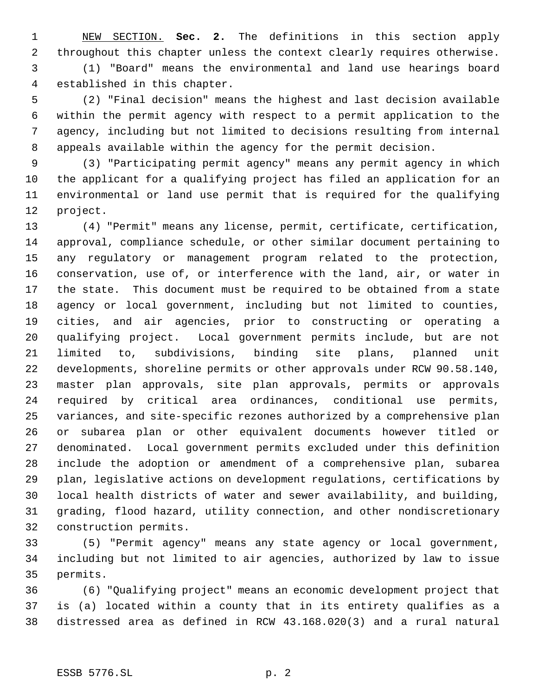NEW SECTION. **Sec. 2.** The definitions in this section apply throughout this chapter unless the context clearly requires otherwise. (1) "Board" means the environmental and land use hearings board

established in this chapter.

 (2) "Final decision" means the highest and last decision available within the permit agency with respect to a permit application to the agency, including but not limited to decisions resulting from internal appeals available within the agency for the permit decision.

 (3) "Participating permit agency" means any permit agency in which the applicant for a qualifying project has filed an application for an environmental or land use permit that is required for the qualifying project.

 (4) "Permit" means any license, permit, certificate, certification, approval, compliance schedule, or other similar document pertaining to any regulatory or management program related to the protection, conservation, use of, or interference with the land, air, or water in the state. This document must be required to be obtained from a state agency or local government, including but not limited to counties, cities, and air agencies, prior to constructing or operating a qualifying project. Local government permits include, but are not limited to, subdivisions, binding site plans, planned unit developments, shoreline permits or other approvals under RCW 90.58.140, master plan approvals, site plan approvals, permits or approvals required by critical area ordinances, conditional use permits, variances, and site-specific rezones authorized by a comprehensive plan or subarea plan or other equivalent documents however titled or denominated. Local government permits excluded under this definition include the adoption or amendment of a comprehensive plan, subarea plan, legislative actions on development regulations, certifications by local health districts of water and sewer availability, and building, grading, flood hazard, utility connection, and other nondiscretionary construction permits.

 (5) "Permit agency" means any state agency or local government, including but not limited to air agencies, authorized by law to issue permits.

 (6) "Qualifying project" means an economic development project that is (a) located within a county that in its entirety qualifies as a distressed area as defined in RCW 43.168.020(3) and a rural natural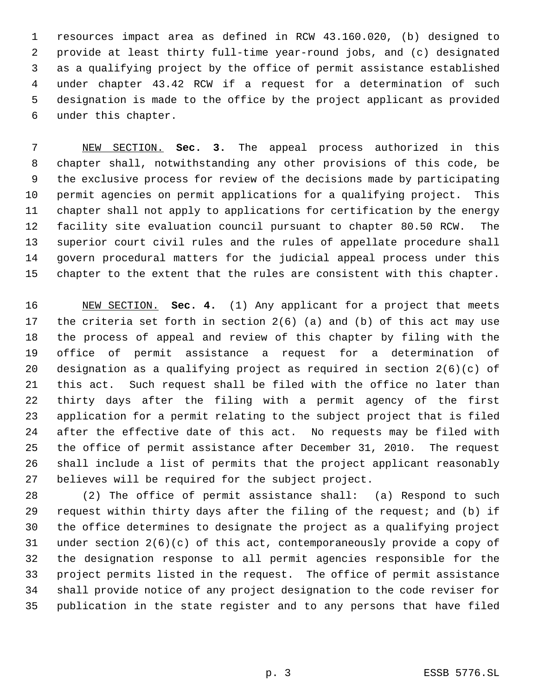resources impact area as defined in RCW 43.160.020, (b) designed to provide at least thirty full-time year-round jobs, and (c) designated as a qualifying project by the office of permit assistance established under chapter 43.42 RCW if a request for a determination of such designation is made to the office by the project applicant as provided under this chapter.

 NEW SECTION. **Sec. 3.** The appeal process authorized in this chapter shall, notwithstanding any other provisions of this code, be the exclusive process for review of the decisions made by participating permit agencies on permit applications for a qualifying project. This chapter shall not apply to applications for certification by the energy facility site evaluation council pursuant to chapter 80.50 RCW. The superior court civil rules and the rules of appellate procedure shall govern procedural matters for the judicial appeal process under this chapter to the extent that the rules are consistent with this chapter.

 NEW SECTION. **Sec. 4.** (1) Any applicant for a project that meets the criteria set forth in section 2(6) (a) and (b) of this act may use the process of appeal and review of this chapter by filing with the office of permit assistance a request for a determination of designation as a qualifying project as required in section 2(6)(c) of this act. Such request shall be filed with the office no later than thirty days after the filing with a permit agency of the first application for a permit relating to the subject project that is filed after the effective date of this act. No requests may be filed with the office of permit assistance after December 31, 2010. The request shall include a list of permits that the project applicant reasonably believes will be required for the subject project.

 (2) The office of permit assistance shall: (a) Respond to such request within thirty days after the filing of the request; and (b) if the office determines to designate the project as a qualifying project under section 2(6)(c) of this act, contemporaneously provide a copy of the designation response to all permit agencies responsible for the project permits listed in the request. The office of permit assistance shall provide notice of any project designation to the code reviser for publication in the state register and to any persons that have filed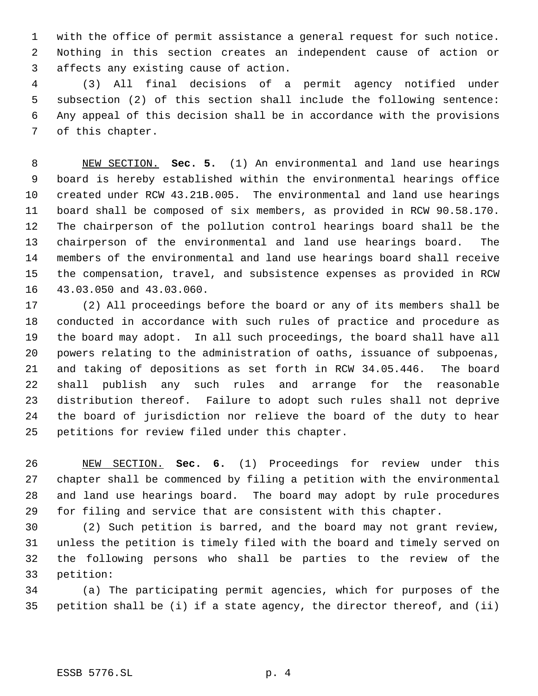with the office of permit assistance a general request for such notice. Nothing in this section creates an independent cause of action or affects any existing cause of action.

 (3) All final decisions of a permit agency notified under subsection (2) of this section shall include the following sentence: Any appeal of this decision shall be in accordance with the provisions of this chapter.

 NEW SECTION. **Sec. 5.** (1) An environmental and land use hearings board is hereby established within the environmental hearings office created under RCW 43.21B.005. The environmental and land use hearings board shall be composed of six members, as provided in RCW 90.58.170. The chairperson of the pollution control hearings board shall be the chairperson of the environmental and land use hearings board. The members of the environmental and land use hearings board shall receive the compensation, travel, and subsistence expenses as provided in RCW 43.03.050 and 43.03.060.

 (2) All proceedings before the board or any of its members shall be conducted in accordance with such rules of practice and procedure as the board may adopt. In all such proceedings, the board shall have all powers relating to the administration of oaths, issuance of subpoenas, and taking of depositions as set forth in RCW 34.05.446. The board shall publish any such rules and arrange for the reasonable distribution thereof. Failure to adopt such rules shall not deprive the board of jurisdiction nor relieve the board of the duty to hear petitions for review filed under this chapter.

 NEW SECTION. **Sec. 6.** (1) Proceedings for review under this chapter shall be commenced by filing a petition with the environmental and land use hearings board. The board may adopt by rule procedures for filing and service that are consistent with this chapter.

 (2) Such petition is barred, and the board may not grant review, unless the petition is timely filed with the board and timely served on the following persons who shall be parties to the review of the petition:

 (a) The participating permit agencies, which for purposes of the petition shall be (i) if a state agency, the director thereof, and (ii)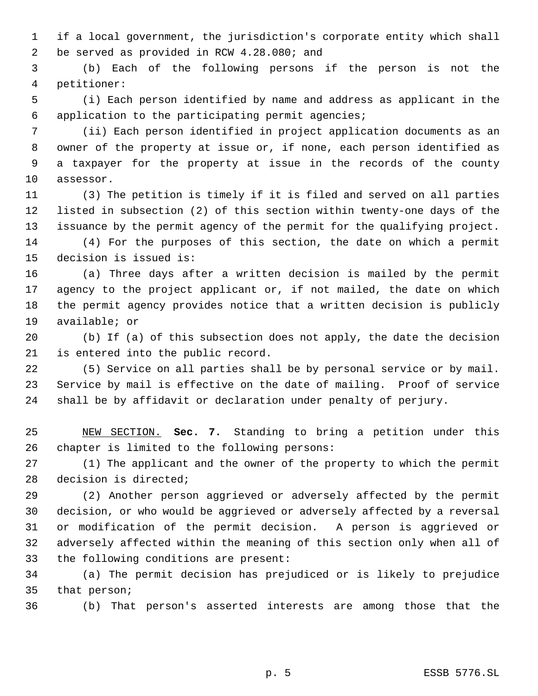if a local government, the jurisdiction's corporate entity which shall be served as provided in RCW 4.28.080; and

 (b) Each of the following persons if the person is not the petitioner:

 (i) Each person identified by name and address as applicant in the application to the participating permit agencies;

 (ii) Each person identified in project application documents as an owner of the property at issue or, if none, each person identified as a taxpayer for the property at issue in the records of the county assessor.

 (3) The petition is timely if it is filed and served on all parties listed in subsection (2) of this section within twenty-one days of the issuance by the permit agency of the permit for the qualifying project. (4) For the purposes of this section, the date on which a permit

decision is issued is:

 (a) Three days after a written decision is mailed by the permit agency to the project applicant or, if not mailed, the date on which the permit agency provides notice that a written decision is publicly available; or

 (b) If (a) of this subsection does not apply, the date the decision is entered into the public record.

 (5) Service on all parties shall be by personal service or by mail. Service by mail is effective on the date of mailing. Proof of service shall be by affidavit or declaration under penalty of perjury.

 NEW SECTION. **Sec. 7.** Standing to bring a petition under this chapter is limited to the following persons:

 (1) The applicant and the owner of the property to which the permit decision is directed;

 (2) Another person aggrieved or adversely affected by the permit decision, or who would be aggrieved or adversely affected by a reversal or modification of the permit decision. A person is aggrieved or adversely affected within the meaning of this section only when all of the following conditions are present:

 (a) The permit decision has prejudiced or is likely to prejudice that person;

(b) That person's asserted interests are among those that the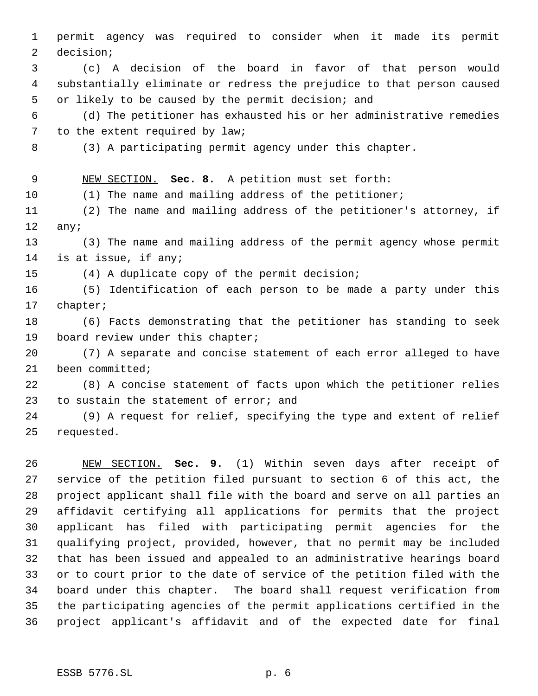permit agency was required to consider when it made its permit decision; (c) A decision of the board in favor of that person would substantially eliminate or redress the prejudice to that person caused or likely to be caused by the permit decision; and (d) The petitioner has exhausted his or her administrative remedies 7 to the extent required by law; (3) A participating permit agency under this chapter. NEW SECTION. **Sec. 8.** A petition must set forth: (1) The name and mailing address of the petitioner; (2) The name and mailing address of the petitioner's attorney, if any; (3) The name and mailing address of the permit agency whose permit is at issue, if any; (4) A duplicate copy of the permit decision; (5) Identification of each person to be made a party under this chapter; (6) Facts demonstrating that the petitioner has standing to seek board review under this chapter; (7) A separate and concise statement of each error alleged to have been committed; (8) A concise statement of facts upon which the petitioner relies to sustain the statement of error; and (9) A request for relief, specifying the type and extent of relief requested.

 NEW SECTION. **Sec. 9.** (1) Within seven days after receipt of service of the petition filed pursuant to section 6 of this act, the project applicant shall file with the board and serve on all parties an affidavit certifying all applications for permits that the project applicant has filed with participating permit agencies for the qualifying project, provided, however, that no permit may be included that has been issued and appealed to an administrative hearings board or to court prior to the date of service of the petition filed with the board under this chapter. The board shall request verification from the participating agencies of the permit applications certified in the project applicant's affidavit and of the expected date for final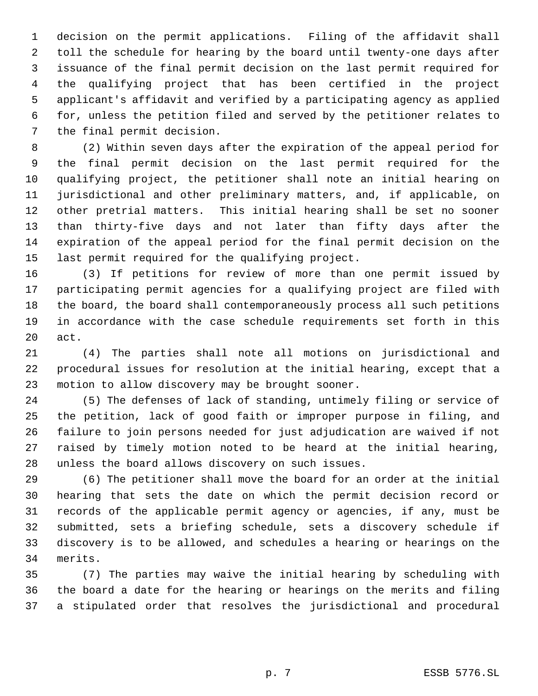decision on the permit applications. Filing of the affidavit shall toll the schedule for hearing by the board until twenty-one days after issuance of the final permit decision on the last permit required for the qualifying project that has been certified in the project applicant's affidavit and verified by a participating agency as applied for, unless the petition filed and served by the petitioner relates to the final permit decision.

 (2) Within seven days after the expiration of the appeal period for the final permit decision on the last permit required for the qualifying project, the petitioner shall note an initial hearing on jurisdictional and other preliminary matters, and, if applicable, on other pretrial matters. This initial hearing shall be set no sooner than thirty-five days and not later than fifty days after the expiration of the appeal period for the final permit decision on the last permit required for the qualifying project.

 (3) If petitions for review of more than one permit issued by participating permit agencies for a qualifying project are filed with the board, the board shall contemporaneously process all such petitions in accordance with the case schedule requirements set forth in this act.

 (4) The parties shall note all motions on jurisdictional and procedural issues for resolution at the initial hearing, except that a motion to allow discovery may be brought sooner.

 (5) The defenses of lack of standing, untimely filing or service of the petition, lack of good faith or improper purpose in filing, and failure to join persons needed for just adjudication are waived if not raised by timely motion noted to be heard at the initial hearing, unless the board allows discovery on such issues.

 (6) The petitioner shall move the board for an order at the initial hearing that sets the date on which the permit decision record or records of the applicable permit agency or agencies, if any, must be submitted, sets a briefing schedule, sets a discovery schedule if discovery is to be allowed, and schedules a hearing or hearings on the merits.

 (7) The parties may waive the initial hearing by scheduling with the board a date for the hearing or hearings on the merits and filing a stipulated order that resolves the jurisdictional and procedural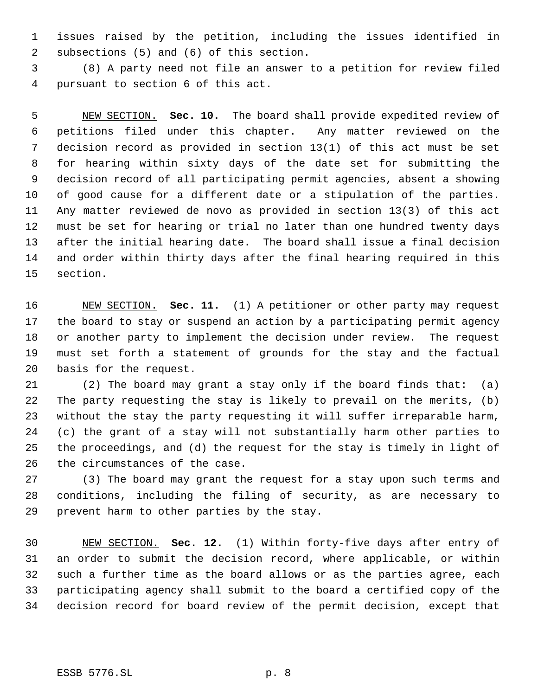issues raised by the petition, including the issues identified in subsections (5) and (6) of this section.

 (8) A party need not file an answer to a petition for review filed pursuant to section 6 of this act.

 NEW SECTION. **Sec. 10.** The board shall provide expedited review of petitions filed under this chapter. Any matter reviewed on the decision record as provided in section 13(1) of this act must be set for hearing within sixty days of the date set for submitting the decision record of all participating permit agencies, absent a showing of good cause for a different date or a stipulation of the parties. Any matter reviewed de novo as provided in section 13(3) of this act must be set for hearing or trial no later than one hundred twenty days after the initial hearing date. The board shall issue a final decision and order within thirty days after the final hearing required in this section.

 NEW SECTION. **Sec. 11.** (1) A petitioner or other party may request the board to stay or suspend an action by a participating permit agency or another party to implement the decision under review. The request must set forth a statement of grounds for the stay and the factual basis for the request.

 (2) The board may grant a stay only if the board finds that: (a) The party requesting the stay is likely to prevail on the merits, (b) without the stay the party requesting it will suffer irreparable harm, (c) the grant of a stay will not substantially harm other parties to the proceedings, and (d) the request for the stay is timely in light of the circumstances of the case.

 (3) The board may grant the request for a stay upon such terms and conditions, including the filing of security, as are necessary to prevent harm to other parties by the stay.

 NEW SECTION. **Sec. 12.** (1) Within forty-five days after entry of an order to submit the decision record, where applicable, or within such a further time as the board allows or as the parties agree, each participating agency shall submit to the board a certified copy of the decision record for board review of the permit decision, except that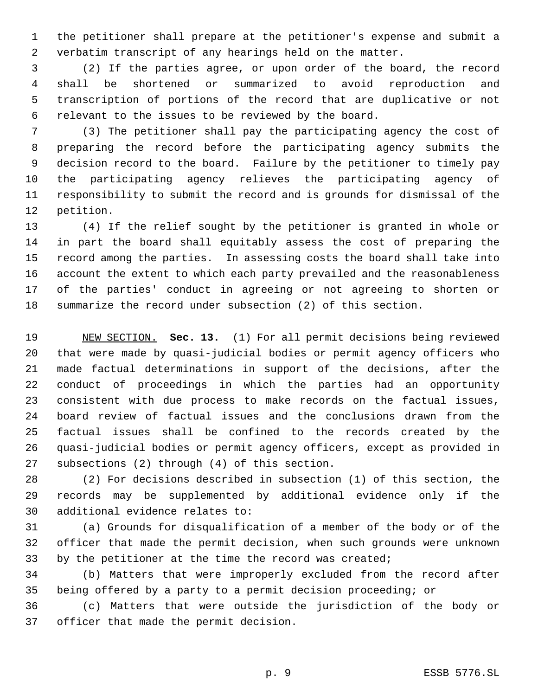the petitioner shall prepare at the petitioner's expense and submit a verbatim transcript of any hearings held on the matter.

 (2) If the parties agree, or upon order of the board, the record shall be shortened or summarized to avoid reproduction and transcription of portions of the record that are duplicative or not relevant to the issues to be reviewed by the board.

 (3) The petitioner shall pay the participating agency the cost of preparing the record before the participating agency submits the decision record to the board. Failure by the petitioner to timely pay the participating agency relieves the participating agency of responsibility to submit the record and is grounds for dismissal of the petition.

 (4) If the relief sought by the petitioner is granted in whole or in part the board shall equitably assess the cost of preparing the record among the parties. In assessing costs the board shall take into account the extent to which each party prevailed and the reasonableness of the parties' conduct in agreeing or not agreeing to shorten or summarize the record under subsection (2) of this section.

 NEW SECTION. **Sec. 13.** (1) For all permit decisions being reviewed that were made by quasi-judicial bodies or permit agency officers who made factual determinations in support of the decisions, after the conduct of proceedings in which the parties had an opportunity consistent with due process to make records on the factual issues, board review of factual issues and the conclusions drawn from the factual issues shall be confined to the records created by the quasi-judicial bodies or permit agency officers, except as provided in subsections (2) through (4) of this section.

 (2) For decisions described in subsection (1) of this section, the records may be supplemented by additional evidence only if the additional evidence relates to:

 (a) Grounds for disqualification of a member of the body or of the officer that made the permit decision, when such grounds were unknown by the petitioner at the time the record was created;

 (b) Matters that were improperly excluded from the record after being offered by a party to a permit decision proceeding; or

 (c) Matters that were outside the jurisdiction of the body or officer that made the permit decision.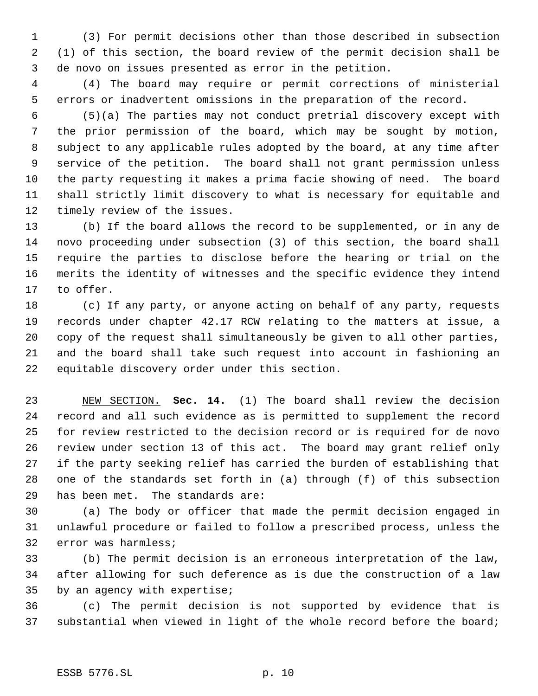(3) For permit decisions other than those described in subsection (1) of this section, the board review of the permit decision shall be de novo on issues presented as error in the petition.

 (4) The board may require or permit corrections of ministerial errors or inadvertent omissions in the preparation of the record.

 (5)(a) The parties may not conduct pretrial discovery except with the prior permission of the board, which may be sought by motion, subject to any applicable rules adopted by the board, at any time after service of the petition. The board shall not grant permission unless the party requesting it makes a prima facie showing of need. The board shall strictly limit discovery to what is necessary for equitable and timely review of the issues.

 (b) If the board allows the record to be supplemented, or in any de novo proceeding under subsection (3) of this section, the board shall require the parties to disclose before the hearing or trial on the merits the identity of witnesses and the specific evidence they intend to offer.

 (c) If any party, or anyone acting on behalf of any party, requests records under chapter 42.17 RCW relating to the matters at issue, a copy of the request shall simultaneously be given to all other parties, and the board shall take such request into account in fashioning an equitable discovery order under this section.

 NEW SECTION. **Sec. 14.** (1) The board shall review the decision record and all such evidence as is permitted to supplement the record for review restricted to the decision record or is required for de novo review under section 13 of this act. The board may grant relief only if the party seeking relief has carried the burden of establishing that one of the standards set forth in (a) through (f) of this subsection has been met. The standards are:

 (a) The body or officer that made the permit decision engaged in unlawful procedure or failed to follow a prescribed process, unless the error was harmless;

 (b) The permit decision is an erroneous interpretation of the law, after allowing for such deference as is due the construction of a law by an agency with expertise;

 (c) The permit decision is not supported by evidence that is substantial when viewed in light of the whole record before the board;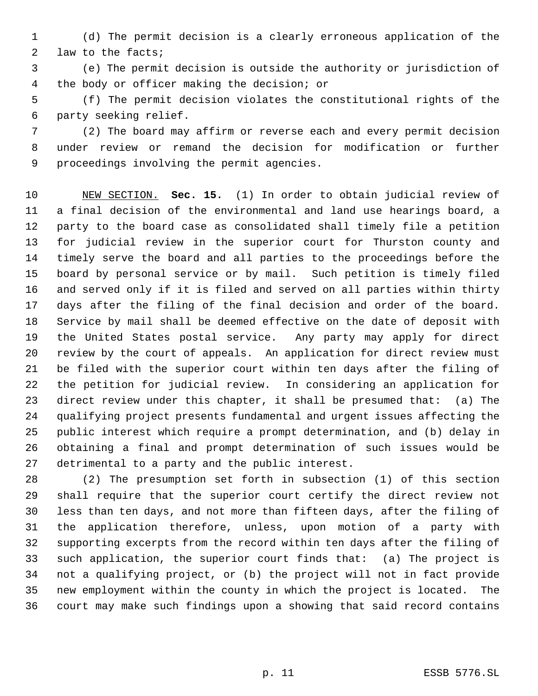(d) The permit decision is a clearly erroneous application of the law to the facts;

 (e) The permit decision is outside the authority or jurisdiction of the body or officer making the decision; or

 (f) The permit decision violates the constitutional rights of the party seeking relief.

 (2) The board may affirm or reverse each and every permit decision under review or remand the decision for modification or further proceedings involving the permit agencies.

 NEW SECTION. **Sec. 15.** (1) In order to obtain judicial review of a final decision of the environmental and land use hearings board, a party to the board case as consolidated shall timely file a petition for judicial review in the superior court for Thurston county and timely serve the board and all parties to the proceedings before the board by personal service or by mail. Such petition is timely filed and served only if it is filed and served on all parties within thirty days after the filing of the final decision and order of the board. Service by mail shall be deemed effective on the date of deposit with the United States postal service. Any party may apply for direct review by the court of appeals. An application for direct review must be filed with the superior court within ten days after the filing of the petition for judicial review. In considering an application for direct review under this chapter, it shall be presumed that: (a) The qualifying project presents fundamental and urgent issues affecting the public interest which require a prompt determination, and (b) delay in obtaining a final and prompt determination of such issues would be detrimental to a party and the public interest.

 (2) The presumption set forth in subsection (1) of this section shall require that the superior court certify the direct review not less than ten days, and not more than fifteen days, after the filing of the application therefore, unless, upon motion of a party with supporting excerpts from the record within ten days after the filing of such application, the superior court finds that: (a) The project is not a qualifying project, or (b) the project will not in fact provide new employment within the county in which the project is located. The court may make such findings upon a showing that said record contains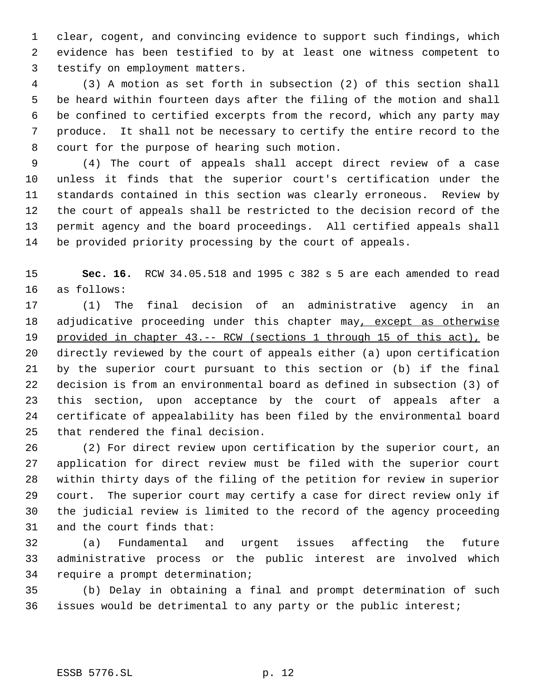clear, cogent, and convincing evidence to support such findings, which evidence has been testified to by at least one witness competent to testify on employment matters.

 (3) A motion as set forth in subsection (2) of this section shall be heard within fourteen days after the filing of the motion and shall be confined to certified excerpts from the record, which any party may produce. It shall not be necessary to certify the entire record to the court for the purpose of hearing such motion.

 (4) The court of appeals shall accept direct review of a case unless it finds that the superior court's certification under the standards contained in this section was clearly erroneous. Review by the court of appeals shall be restricted to the decision record of the permit agency and the board proceedings. All certified appeals shall be provided priority processing by the court of appeals.

 **Sec. 16.** RCW 34.05.518 and 1995 c 382 s 5 are each amended to read as follows:

 (1) The final decision of an administrative agency in an 18 adjudicative proceeding under this chapter may, except as otherwise provided in chapter 43.-- RCW (sections 1 through 15 of this act), be directly reviewed by the court of appeals either (a) upon certification by the superior court pursuant to this section or (b) if the final decision is from an environmental board as defined in subsection (3) of this section, upon acceptance by the court of appeals after a certificate of appealability has been filed by the environmental board that rendered the final decision.

 (2) For direct review upon certification by the superior court, an application for direct review must be filed with the superior court within thirty days of the filing of the petition for review in superior court. The superior court may certify a case for direct review only if the judicial review is limited to the record of the agency proceeding and the court finds that:

 (a) Fundamental and urgent issues affecting the future administrative process or the public interest are involved which require a prompt determination;

 (b) Delay in obtaining a final and prompt determination of such issues would be detrimental to any party or the public interest;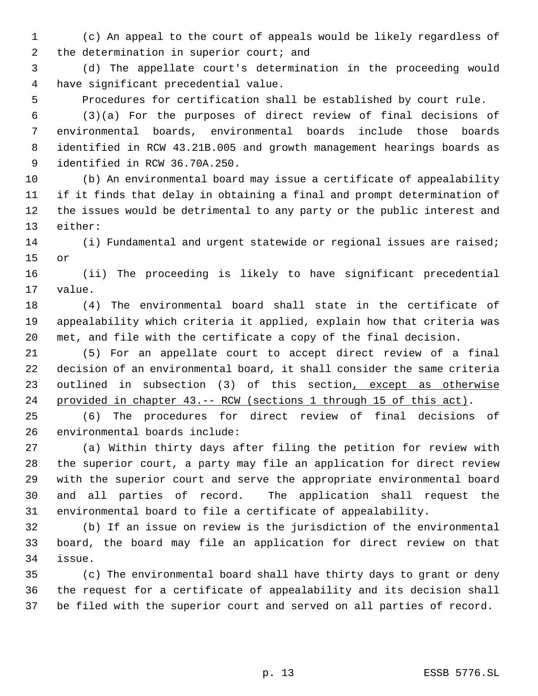(c) An appeal to the court of appeals would be likely regardless of 2 the determination in superior court; and

 (d) The appellate court's determination in the proceeding would have significant precedential value.

Procedures for certification shall be established by court rule.

 (3)(a) For the purposes of direct review of final decisions of environmental boards, environmental boards include those boards identified in RCW 43.21B.005 and growth management hearings boards as identified in RCW 36.70A.250.

 (b) An environmental board may issue a certificate of appealability if it finds that delay in obtaining a final and prompt determination of the issues would be detrimental to any party or the public interest and either:

 (i) Fundamental and urgent statewide or regional issues are raised; or

 (ii) The proceeding is likely to have significant precedential value.

 (4) The environmental board shall state in the certificate of appealability which criteria it applied, explain how that criteria was met, and file with the certificate a copy of the final decision.

 (5) For an appellate court to accept direct review of a final decision of an environmental board, it shall consider the same criteria 23 outlined in subsection (3) of this section, except as otherwise provided in chapter 43.-- RCW (sections 1 through 15 of this act).

 (6) The procedures for direct review of final decisions of environmental boards include:

 (a) Within thirty days after filing the petition for review with the superior court, a party may file an application for direct review with the superior court and serve the appropriate environmental board and all parties of record. The application shall request the environmental board to file a certificate of appealability.

 (b) If an issue on review is the jurisdiction of the environmental board, the board may file an application for direct review on that issue.

 (c) The environmental board shall have thirty days to grant or deny the request for a certificate of appealability and its decision shall be filed with the superior court and served on all parties of record.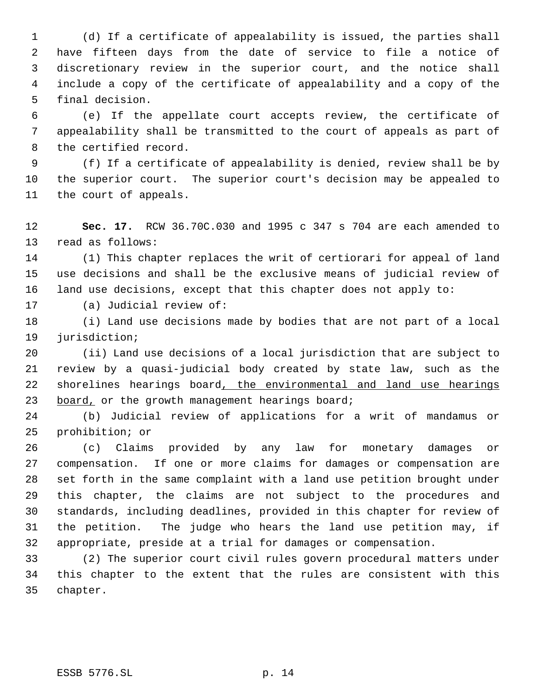(d) If a certificate of appealability is issued, the parties shall have fifteen days from the date of service to file a notice of discretionary review in the superior court, and the notice shall include a copy of the certificate of appealability and a copy of the final decision.

 (e) If the appellate court accepts review, the certificate of appealability shall be transmitted to the court of appeals as part of the certified record.

 (f) If a certificate of appealability is denied, review shall be by the superior court. The superior court's decision may be appealed to the court of appeals.

 **Sec. 17.** RCW 36.70C.030 and 1995 c 347 s 704 are each amended to read as follows:

 (1) This chapter replaces the writ of certiorari for appeal of land use decisions and shall be the exclusive means of judicial review of land use decisions, except that this chapter does not apply to:

(a) Judicial review of:

 (i) Land use decisions made by bodies that are not part of a local jurisdiction;

 (ii) Land use decisions of a local jurisdiction that are subject to review by a quasi-judicial body created by state law, such as the 22 shorelines hearings board, the environmental and land use hearings 23 board, or the growth management hearings board;

 (b) Judicial review of applications for a writ of mandamus or prohibition; or

 (c) Claims provided by any law for monetary damages or compensation. If one or more claims for damages or compensation are set forth in the same complaint with a land use petition brought under this chapter, the claims are not subject to the procedures and standards, including deadlines, provided in this chapter for review of the petition. The judge who hears the land use petition may, if appropriate, preside at a trial for damages or compensation.

 (2) The superior court civil rules govern procedural matters under this chapter to the extent that the rules are consistent with this chapter.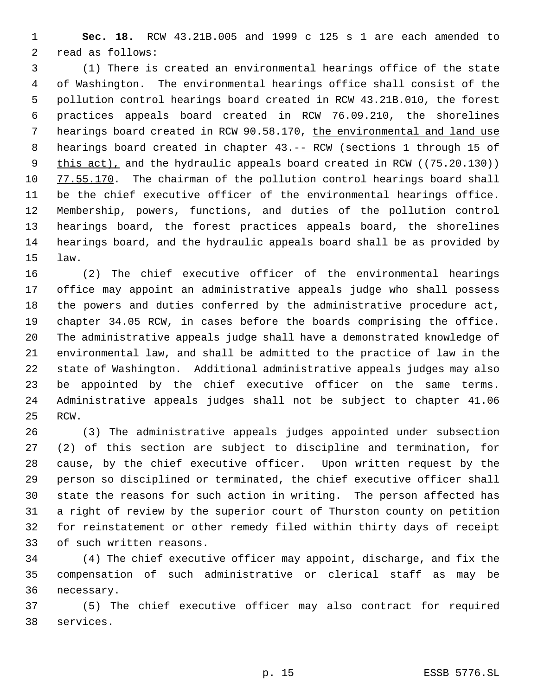**Sec. 18.** RCW 43.21B.005 and 1999 c 125 s 1 are each amended to read as follows:

 (1) There is created an environmental hearings office of the state of Washington. The environmental hearings office shall consist of the pollution control hearings board created in RCW 43.21B.010, the forest practices appeals board created in RCW 76.09.210, the shorelines hearings board created in RCW 90.58.170, the environmental and land use hearings board created in chapter 43.-- RCW (sections 1 through 15 of 9 this act), and the hydraulic appeals board created in RCW ((75.20.130)) 77.55.170. The chairman of the pollution control hearings board shall be the chief executive officer of the environmental hearings office. Membership, powers, functions, and duties of the pollution control hearings board, the forest practices appeals board, the shorelines hearings board, and the hydraulic appeals board shall be as provided by law.

 (2) The chief executive officer of the environmental hearings office may appoint an administrative appeals judge who shall possess the powers and duties conferred by the administrative procedure act, chapter 34.05 RCW, in cases before the boards comprising the office. The administrative appeals judge shall have a demonstrated knowledge of environmental law, and shall be admitted to the practice of law in the state of Washington. Additional administrative appeals judges may also be appointed by the chief executive officer on the same terms. Administrative appeals judges shall not be subject to chapter 41.06 RCW.

 (3) The administrative appeals judges appointed under subsection (2) of this section are subject to discipline and termination, for cause, by the chief executive officer. Upon written request by the person so disciplined or terminated, the chief executive officer shall state the reasons for such action in writing. The person affected has a right of review by the superior court of Thurston county on petition for reinstatement or other remedy filed within thirty days of receipt of such written reasons.

 (4) The chief executive officer may appoint, discharge, and fix the compensation of such administrative or clerical staff as may be necessary.

 (5) The chief executive officer may also contract for required services.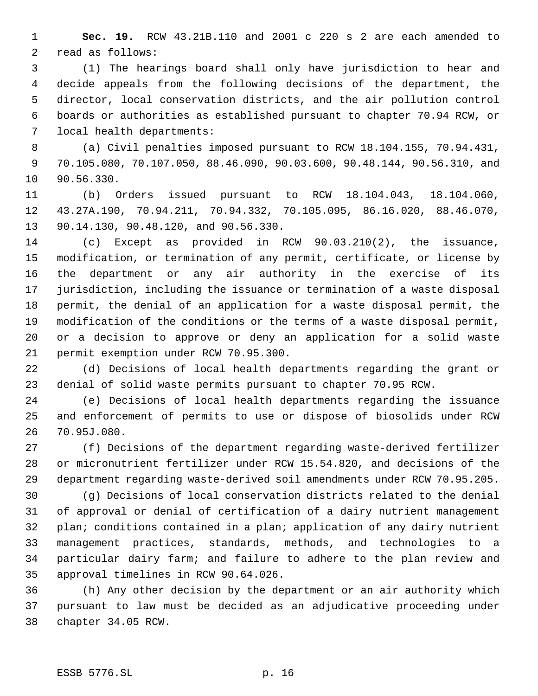**Sec. 19.** RCW 43.21B.110 and 2001 c 220 s 2 are each amended to read as follows:

 (1) The hearings board shall only have jurisdiction to hear and decide appeals from the following decisions of the department, the director, local conservation districts, and the air pollution control boards or authorities as established pursuant to chapter 70.94 RCW, or local health departments:

 (a) Civil penalties imposed pursuant to RCW 18.104.155, 70.94.431, 70.105.080, 70.107.050, 88.46.090, 90.03.600, 90.48.144, 90.56.310, and 90.56.330.

 (b) Orders issued pursuant to RCW 18.104.043, 18.104.060, 43.27A.190, 70.94.211, 70.94.332, 70.105.095, 86.16.020, 88.46.070, 90.14.130, 90.48.120, and 90.56.330.

 (c) Except as provided in RCW 90.03.210(2), the issuance, modification, or termination of any permit, certificate, or license by the department or any air authority in the exercise of its jurisdiction, including the issuance or termination of a waste disposal permit, the denial of an application for a waste disposal permit, the modification of the conditions or the terms of a waste disposal permit, or a decision to approve or deny an application for a solid waste permit exemption under RCW 70.95.300.

 (d) Decisions of local health departments regarding the grant or denial of solid waste permits pursuant to chapter 70.95 RCW.

 (e) Decisions of local health departments regarding the issuance and enforcement of permits to use or dispose of biosolids under RCW 70.95J.080.

 (f) Decisions of the department regarding waste-derived fertilizer or micronutrient fertilizer under RCW 15.54.820, and decisions of the department regarding waste-derived soil amendments under RCW 70.95.205.

 (g) Decisions of local conservation districts related to the denial of approval or denial of certification of a dairy nutrient management plan; conditions contained in a plan; application of any dairy nutrient management practices, standards, methods, and technologies to a particular dairy farm; and failure to adhere to the plan review and approval timelines in RCW 90.64.026.

 (h) Any other decision by the department or an air authority which pursuant to law must be decided as an adjudicative proceeding under chapter 34.05 RCW.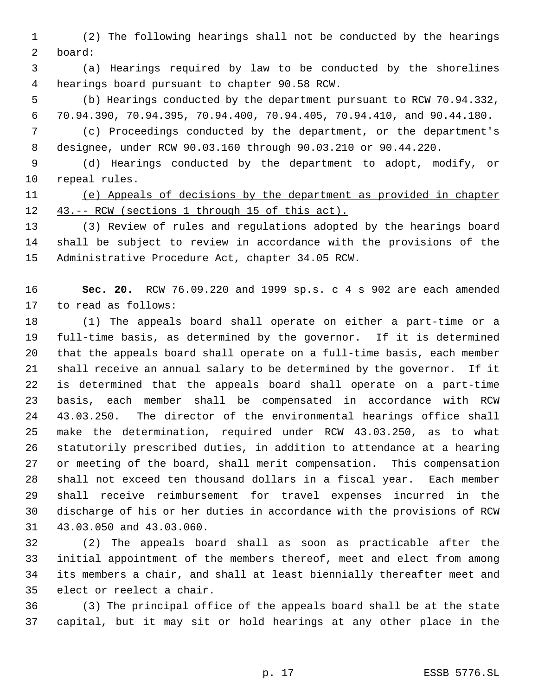(2) The following hearings shall not be conducted by the hearings board:

 (a) Hearings required by law to be conducted by the shorelines hearings board pursuant to chapter 90.58 RCW.

 (b) Hearings conducted by the department pursuant to RCW 70.94.332, 70.94.390, 70.94.395, 70.94.400, 70.94.405, 70.94.410, and 90.44.180.

 (c) Proceedings conducted by the department, or the department's designee, under RCW 90.03.160 through 90.03.210 or 90.44.220.

 (d) Hearings conducted by the department to adopt, modify, or repeal rules.

 (e) Appeals of decisions by the department as provided in chapter 12 43.-- RCW (sections 1 through 15 of this act).

 (3) Review of rules and regulations adopted by the hearings board shall be subject to review in accordance with the provisions of the Administrative Procedure Act, chapter 34.05 RCW.

 **Sec. 20.** RCW 76.09.220 and 1999 sp.s. c 4 s 902 are each amended to read as follows:

 (1) The appeals board shall operate on either a part-time or a full-time basis, as determined by the governor. If it is determined that the appeals board shall operate on a full-time basis, each member shall receive an annual salary to be determined by the governor. If it is determined that the appeals board shall operate on a part-time basis, each member shall be compensated in accordance with RCW 43.03.250. The director of the environmental hearings office shall make the determination, required under RCW 43.03.250, as to what statutorily prescribed duties, in addition to attendance at a hearing or meeting of the board, shall merit compensation. This compensation shall not exceed ten thousand dollars in a fiscal year. Each member shall receive reimbursement for travel expenses incurred in the discharge of his or her duties in accordance with the provisions of RCW 43.03.050 and 43.03.060.

 (2) The appeals board shall as soon as practicable after the initial appointment of the members thereof, meet and elect from among its members a chair, and shall at least biennially thereafter meet and elect or reelect a chair.

 (3) The principal office of the appeals board shall be at the state capital, but it may sit or hold hearings at any other place in the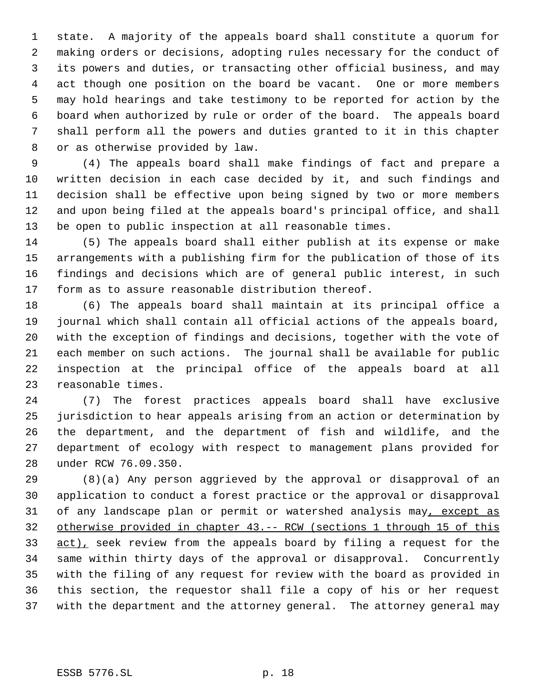state. A majority of the appeals board shall constitute a quorum for making orders or decisions, adopting rules necessary for the conduct of its powers and duties, or transacting other official business, and may act though one position on the board be vacant. One or more members may hold hearings and take testimony to be reported for action by the board when authorized by rule or order of the board. The appeals board shall perform all the powers and duties granted to it in this chapter or as otherwise provided by law.

 (4) The appeals board shall make findings of fact and prepare a written decision in each case decided by it, and such findings and decision shall be effective upon being signed by two or more members and upon being filed at the appeals board's principal office, and shall be open to public inspection at all reasonable times.

 (5) The appeals board shall either publish at its expense or make arrangements with a publishing firm for the publication of those of its findings and decisions which are of general public interest, in such form as to assure reasonable distribution thereof.

 (6) The appeals board shall maintain at its principal office a journal which shall contain all official actions of the appeals board, with the exception of findings and decisions, together with the vote of each member on such actions. The journal shall be available for public inspection at the principal office of the appeals board at all reasonable times.

 (7) The forest practices appeals board shall have exclusive jurisdiction to hear appeals arising from an action or determination by the department, and the department of fish and wildlife, and the department of ecology with respect to management plans provided for under RCW 76.09.350.

 (8)(a) Any person aggrieved by the approval or disapproval of an application to conduct a forest practice or the approval or disapproval 31 of any landscape plan or permit or watershed analysis may, except as otherwise provided in chapter 43.-- RCW (sections 1 through 15 of this 33 act), seek review from the appeals board by filing a request for the same within thirty days of the approval or disapproval. Concurrently with the filing of any request for review with the board as provided in this section, the requestor shall file a copy of his or her request with the department and the attorney general. The attorney general may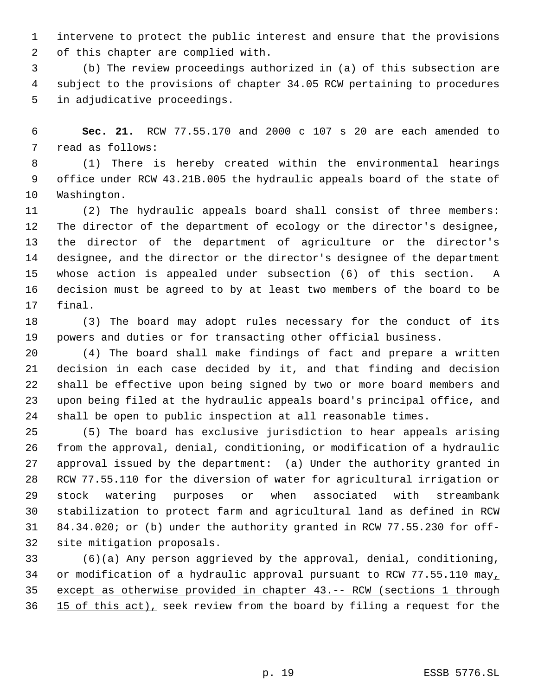intervene to protect the public interest and ensure that the provisions of this chapter are complied with.

 (b) The review proceedings authorized in (a) of this subsection are subject to the provisions of chapter 34.05 RCW pertaining to procedures in adjudicative proceedings.

 **Sec. 21.** RCW 77.55.170 and 2000 c 107 s 20 are each amended to read as follows:

 (1) There is hereby created within the environmental hearings office under RCW 43.21B.005 the hydraulic appeals board of the state of Washington.

 (2) The hydraulic appeals board shall consist of three members: The director of the department of ecology or the director's designee, the director of the department of agriculture or the director's designee, and the director or the director's designee of the department whose action is appealed under subsection (6) of this section. A decision must be agreed to by at least two members of the board to be final.

 (3) The board may adopt rules necessary for the conduct of its powers and duties or for transacting other official business.

 (4) The board shall make findings of fact and prepare a written decision in each case decided by it, and that finding and decision shall be effective upon being signed by two or more board members and upon being filed at the hydraulic appeals board's principal office, and shall be open to public inspection at all reasonable times.

 (5) The board has exclusive jurisdiction to hear appeals arising from the approval, denial, conditioning, or modification of a hydraulic approval issued by the department: (a) Under the authority granted in RCW 77.55.110 for the diversion of water for agricultural irrigation or stock watering purposes or when associated with streambank stabilization to protect farm and agricultural land as defined in RCW 84.34.020; or (b) under the authority granted in RCW 77.55.230 for off-site mitigation proposals.

 (6)(a) Any person aggrieved by the approval, denial, conditioning, 34 or modification of a hydraulic approval pursuant to RCW 77.55.110 may, except as otherwise provided in chapter 43.-- RCW (sections 1 through 36 15 of this act), seek review from the board by filing a request for the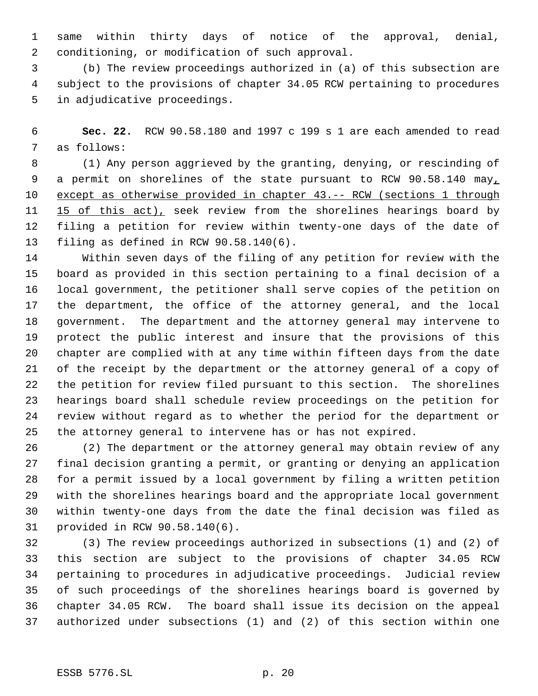same within thirty days of notice of the approval, denial, conditioning, or modification of such approval.

 (b) The review proceedings authorized in (a) of this subsection are subject to the provisions of chapter 34.05 RCW pertaining to procedures in adjudicative proceedings.

 **Sec. 22.** RCW 90.58.180 and 1997 c 199 s 1 are each amended to read as follows:

 (1) Any person aggrieved by the granting, denying, or rescinding of 9 a permit on shorelines of the state pursuant to RCW 90.58.140 may, except as otherwise provided in chapter 43.-- RCW (sections 1 through 11 15 of this act), seek review from the shorelines hearings board by filing a petition for review within twenty-one days of the date of filing as defined in RCW 90.58.140(6).

 Within seven days of the filing of any petition for review with the board as provided in this section pertaining to a final decision of a local government, the petitioner shall serve copies of the petition on the department, the office of the attorney general, and the local government. The department and the attorney general may intervene to protect the public interest and insure that the provisions of this chapter are complied with at any time within fifteen days from the date of the receipt by the department or the attorney general of a copy of the petition for review filed pursuant to this section. The shorelines hearings board shall schedule review proceedings on the petition for review without regard as to whether the period for the department or the attorney general to intervene has or has not expired.

 (2) The department or the attorney general may obtain review of any final decision granting a permit, or granting or denying an application for a permit issued by a local government by filing a written petition with the shorelines hearings board and the appropriate local government within twenty-one days from the date the final decision was filed as provided in RCW 90.58.140(6).

 (3) The review proceedings authorized in subsections (1) and (2) of this section are subject to the provisions of chapter 34.05 RCW pertaining to procedures in adjudicative proceedings. Judicial review of such proceedings of the shorelines hearings board is governed by chapter 34.05 RCW. The board shall issue its decision on the appeal authorized under subsections (1) and (2) of this section within one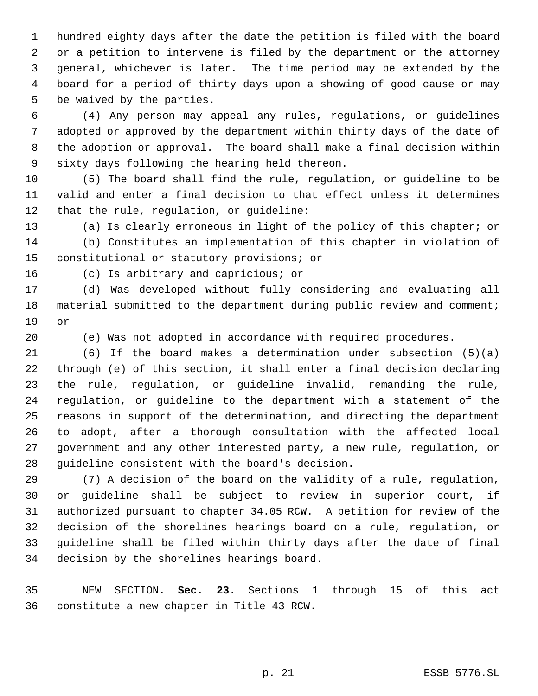hundred eighty days after the date the petition is filed with the board or a petition to intervene is filed by the department or the attorney general, whichever is later. The time period may be extended by the board for a period of thirty days upon a showing of good cause or may be waived by the parties.

 (4) Any person may appeal any rules, regulations, or guidelines adopted or approved by the department within thirty days of the date of the adoption or approval. The board shall make a final decision within sixty days following the hearing held thereon.

 (5) The board shall find the rule, regulation, or guideline to be valid and enter a final decision to that effect unless it determines that the rule, regulation, or guideline:

 (a) Is clearly erroneous in light of the policy of this chapter; or (b) Constitutes an implementation of this chapter in violation of constitutional or statutory provisions; or

(c) Is arbitrary and capricious; or

 (d) Was developed without fully considering and evaluating all material submitted to the department during public review and comment; or

(e) Was not adopted in accordance with required procedures.

 (6) If the board makes a determination under subsection (5)(a) through (e) of this section, it shall enter a final decision declaring the rule, regulation, or guideline invalid, remanding the rule, regulation, or guideline to the department with a statement of the reasons in support of the determination, and directing the department to adopt, after a thorough consultation with the affected local government and any other interested party, a new rule, regulation, or guideline consistent with the board's decision.

 (7) A decision of the board on the validity of a rule, regulation, or guideline shall be subject to review in superior court, if authorized pursuant to chapter 34.05 RCW. A petition for review of the decision of the shorelines hearings board on a rule, regulation, or guideline shall be filed within thirty days after the date of final decision by the shorelines hearings board.

 NEW SECTION. **Sec. 23.** Sections 1 through 15 of this act constitute a new chapter in Title 43 RCW.